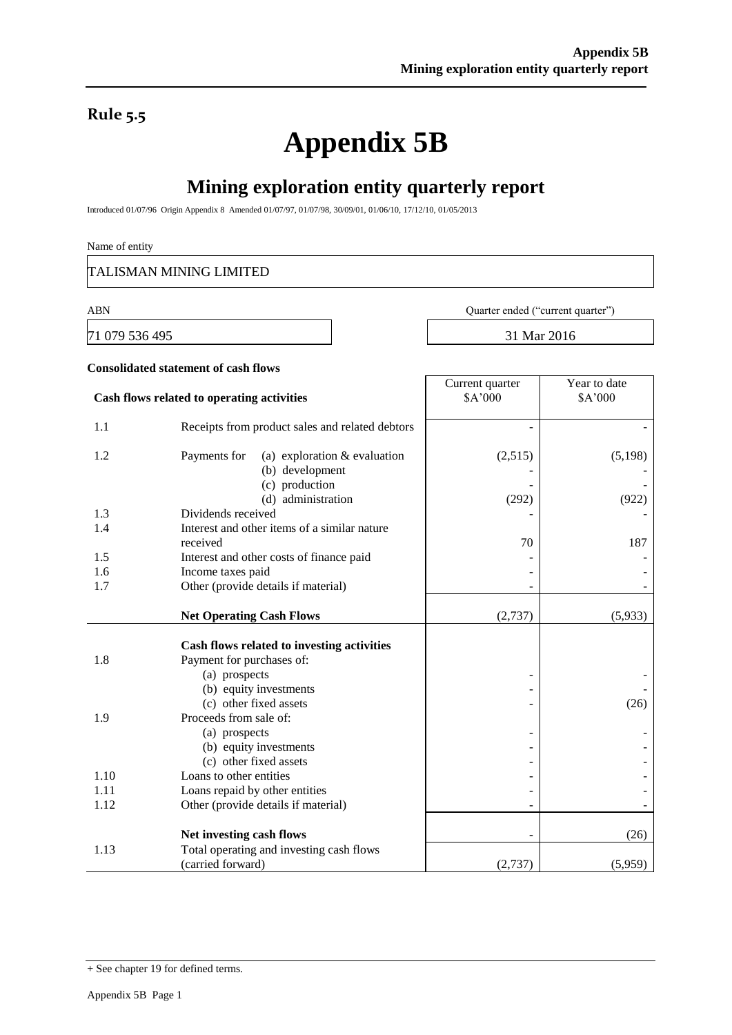### **Rule 5.5**

# **Appendix 5B**

## **Mining exploration entity quarterly report**

Introduced 01/07/96 Origin Appendix 8 Amended 01/07/97, 01/07/98, 30/09/01, 01/06/10, 17/12/10, 01/05/2013

#### Name of entity

TALISMAN MINING LIMITED

**Consolidated statement of cash flows**

71 079 536 495 31 Mar 2016

ABN Quarter ended ("current quarter")

| Cash flows related to operating activities |                                                                   | Current quarter<br>\$A'000 | Year to date<br>\$A'000 |  |
|--------------------------------------------|-------------------------------------------------------------------|----------------------------|-------------------------|--|
|                                            |                                                                   |                            |                         |  |
| 1.1                                        | Receipts from product sales and related debtors                   |                            |                         |  |
| 1.2                                        | Payments for<br>(a) exploration $&$ evaluation<br>(b) development | (2,515)                    | (5, 198)                |  |
|                                            | (c) production                                                    |                            |                         |  |
|                                            | (d) administration                                                | (292)                      | (922)                   |  |
| 1.3                                        | Dividends received                                                |                            |                         |  |
| 1.4                                        | Interest and other items of a similar nature                      |                            |                         |  |
|                                            | received                                                          | 70                         | 187                     |  |
| 1.5                                        | Interest and other costs of finance paid                          |                            |                         |  |
| 1.6                                        | Income taxes paid                                                 |                            |                         |  |
| 1.7                                        | Other (provide details if material)                               |                            |                         |  |
|                                            | <b>Net Operating Cash Flows</b>                                   | (2,737)                    | (5,933)                 |  |
|                                            |                                                                   |                            |                         |  |
|                                            | Cash flows related to investing activities                        |                            |                         |  |
| 1.8                                        | Payment for purchases of:                                         |                            |                         |  |
|                                            | (a) prospects<br>(b) equity investments                           |                            |                         |  |
|                                            | (c) other fixed assets                                            |                            | (26)                    |  |
| 1.9                                        | Proceeds from sale of:                                            |                            |                         |  |
|                                            | (a) prospects                                                     |                            |                         |  |
|                                            | (b) equity investments                                            |                            |                         |  |
|                                            | (c) other fixed assets                                            |                            |                         |  |
| 1.10                                       | Loans to other entities                                           |                            |                         |  |
| 1.11                                       | Loans repaid by other entities                                    |                            |                         |  |
| 1.12                                       | Other (provide details if material)                               |                            |                         |  |
|                                            | Net investing cash flows                                          | ۰                          | (26)                    |  |
| 1.13                                       | Total operating and investing cash flows                          |                            |                         |  |
|                                            | (carried forward)                                                 | (2,737)                    | (5,959)                 |  |

<sup>+</sup> See chapter 19 for defined terms.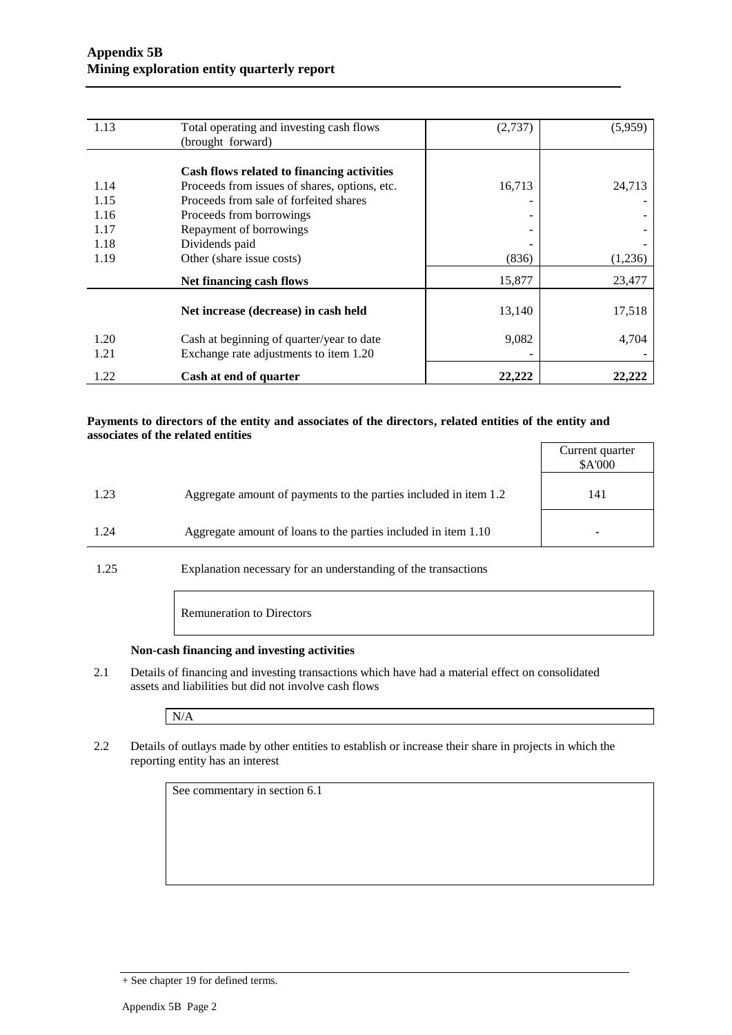| 1.13 | Total operating and investing cash flows      | (2,737) | (5,959) |
|------|-----------------------------------------------|---------|---------|
|      | (brought forward)                             |         |         |
|      |                                               |         |         |
|      | Cash flows related to financing activities    |         |         |
| 1.14 | Proceeds from issues of shares, options, etc. | 16,713  | 24,713  |
| 1.15 | Proceeds from sale of forfeited shares        |         |         |
| 1.16 | Proceeds from borrowings                      |         |         |
| 1.17 | Repayment of borrowings                       |         |         |
| 1.18 | Dividends paid                                |         |         |
| 1.19 | Other (share issue costs)                     | (836)   | (1,236) |
|      | Net financing cash flows                      | 15,877  | 23,477  |
|      | Net increase (decrease) in cash held          | 13,140  | 17,518  |
| 1.20 | Cash at beginning of quarter/year to date     | 9,082   | 4,704   |
| 1.21 | Exchange rate adjustments to item 1.20        |         |         |
| 1.22 | Cash at end of quarter                        | 22.222  | 22.222  |

#### **Payments to directors of the entity and associates of the directors, related entities of the entity and associates of the related entities**

|      |                                                                  | Current quarter<br>\$A'000 |
|------|------------------------------------------------------------------|----------------------------|
| 1.23 | Aggregate amount of payments to the parties included in item 1.2 | 141                        |
| 1.24 | Aggregate amount of loans to the parties included in item 1.10   |                            |

1.25 Explanation necessary for an understanding of the transactions

Remuneration to Directors

#### **Non-cash financing and investing activities**

2.1 Details of financing and investing transactions which have had a material effect on consolidated assets and liabilities but did not involve cash flows

N/A

2.2 Details of outlays made by other entities to establish or increase their share in projects in which the reporting entity has an interest

See commentary in section 6.1

<sup>+</sup> See chapter 19 for defined terms.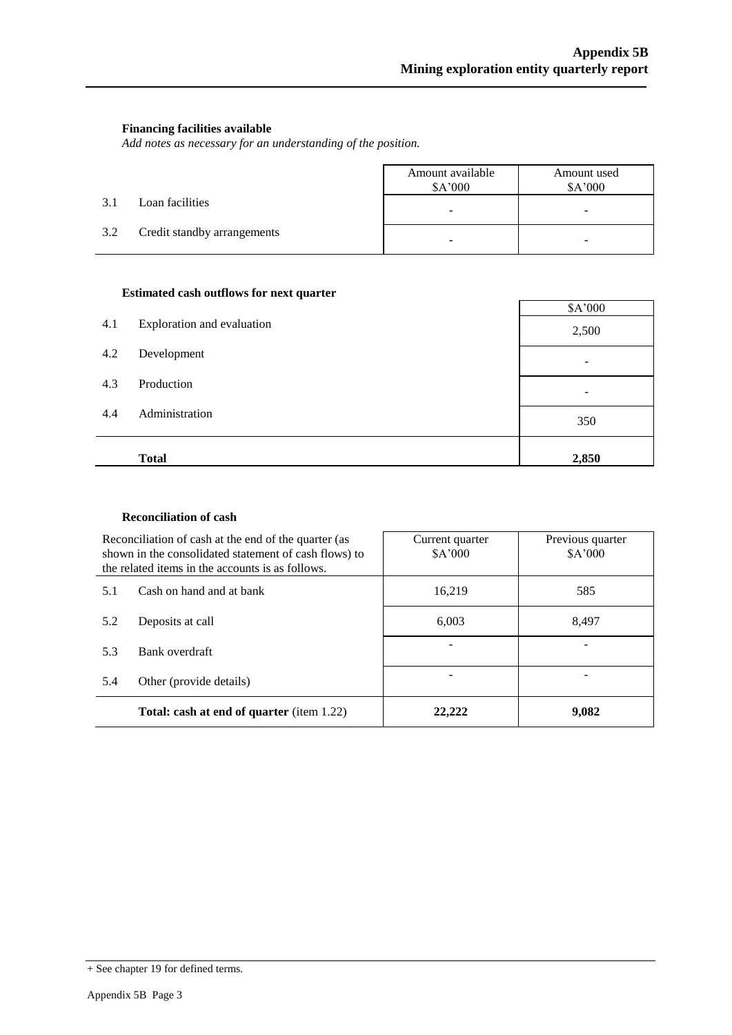#### **Financing facilities available**

*Add notes as necessary for an understanding of the position.*

|     |                             | Amount available<br>\$A'000 | Amount used<br>\$A'000 |
|-----|-----------------------------|-----------------------------|------------------------|
| 3.1 | Loan facilities             | -                           | -                      |
| 3.2 | Credit standby arrangements | -                           |                        |

#### **Estimated cash outflows for next quarter**

| 4.1 | Exploration and evaluation | \$A'000 |
|-----|----------------------------|---------|
|     |                            | 2,500   |
| 4.2 | Development                |         |
| 4.3 | Production                 |         |
| 4.4 | Administration             | 350     |
|     | <b>Total</b>               | 2,850   |

#### **Reconciliation of cash**

| Reconciliation of cash at the end of the quarter (as<br>shown in the consolidated statement of cash flows) to<br>the related items in the accounts is as follows. |                                                  | Current quarter<br>\$A'000 | Previous quarter<br>\$A'000 |
|-------------------------------------------------------------------------------------------------------------------------------------------------------------------|--------------------------------------------------|----------------------------|-----------------------------|
| 5.1                                                                                                                                                               | Cash on hand and at bank                         | 16.219                     | 585                         |
| 5.2                                                                                                                                                               | Deposits at call                                 | 6.003                      | 8.497                       |
| 5.3                                                                                                                                                               | Bank overdraft                                   |                            |                             |
| 5.4                                                                                                                                                               | Other (provide details)                          |                            |                             |
|                                                                                                                                                                   | <b>Total: cash at end of quarter</b> (item 1.22) | 22.222                     | 9,082                       |

<sup>+</sup> See chapter 19 for defined terms.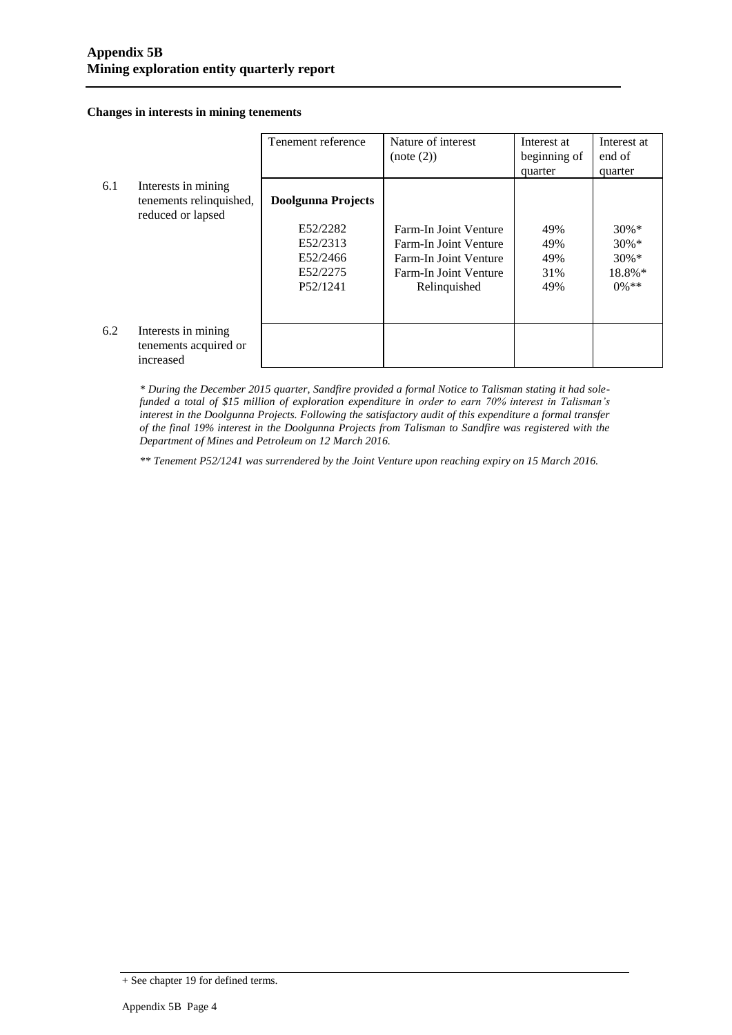**Changes in interests in mining tenements**

|     |                         | Tenement reference        | Nature of interest    | Interest at  | Interest at |
|-----|-------------------------|---------------------------|-----------------------|--------------|-------------|
|     |                         |                           | (note (2))            | beginning of | end of      |
|     |                         |                           |                       | quarter      | quarter     |
| 6.1 | Interests in mining     |                           |                       |              |             |
|     | tenements relinquished, | <b>Doolgunna Projects</b> |                       |              |             |
|     | reduced or lapsed       |                           |                       |              |             |
|     |                         | E52/2282                  | Farm-In Joint Venture | 49%          | $30\%*$     |
|     |                         | E52/2313                  | Farm-In Joint Venture | 49%          | $30\% *$    |
|     |                         | E52/2466                  | Farm-In Joint Venture | 49%          | $30\% *$    |
|     |                         | E52/2275                  | Farm-In Joint Venture | 31%          | 18.8%*      |
|     |                         | P <sub>52</sub> /1241     | Relinquished          | 49%          | $0\%$ **    |
|     |                         |                           |                       |              |             |
|     |                         |                           |                       |              |             |
| 6.2 | Interests in mining     |                           |                       |              |             |
|     | tenements acquired or   |                           |                       |              |             |
|     | increased               |                           |                       |              |             |

*\* During the December 2015 quarter, Sandfire provided a formal Notice to Talisman stating it had solefunded a total of \$15 million of exploration expenditure in order to earn 70% interest in Talisman's interest in the Doolgunna Projects. Following the satisfactory audit of this expenditure a formal transfer of the final 19% interest in the Doolgunna Projects from Talisman to Sandfire was registered with the Department of Mines and Petroleum on 12 March 2016.*

*\*\* Tenement P52/1241 was surrendered by the Joint Venture upon reaching expiry on 15 March 2016.*

<sup>+</sup> See chapter 19 for defined terms.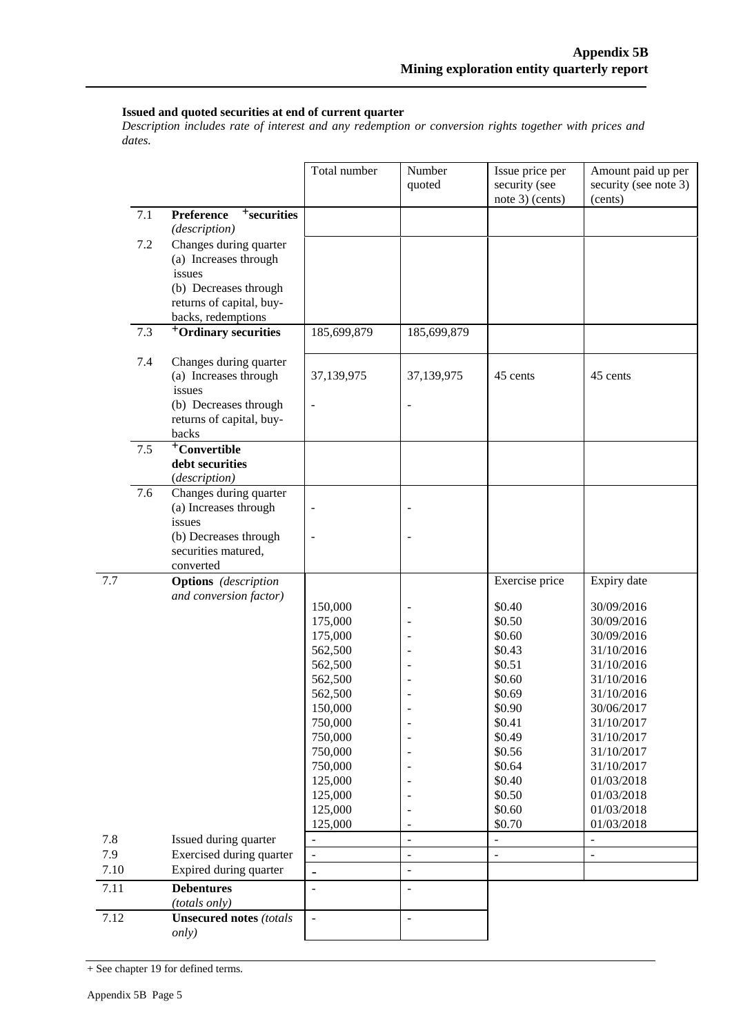#### **Issued and quoted securities at end of current quarter**

*Description includes rate of interest and any redemption or conversion rights together with prices and dates.*

|      |     |                                                                                    | Total number                           | Number<br>quoted | Issue price per<br>security (see<br>note 3) (cents) | Amount paid up per<br>security (see note 3)<br>(cents) |
|------|-----|------------------------------------------------------------------------------------|----------------------------------------|------------------|-----------------------------------------------------|--------------------------------------------------------|
|      | 7.1 | <sup>+</sup> securities<br>Preference<br>(description)                             |                                        |                  |                                                     |                                                        |
|      | 7.2 | Changes during quarter<br>(a) Increases through<br>issues<br>(b) Decreases through |                                        |                  |                                                     |                                                        |
|      |     | returns of capital, buy-<br>backs, redemptions                                     |                                        |                  |                                                     |                                                        |
|      | 7.3 | <sup>+</sup> Ordinary securities                                                   | 185,699,879                            | 185,699,879      |                                                     |                                                        |
|      | 7.4 | Changes during quarter<br>(a) Increases through<br>issues<br>(b) Decreases through | 37,139,975<br>$\overline{\phantom{m}}$ | 37,139,975<br>÷  | 45 cents                                            | 45 cents                                               |
|      |     | returns of capital, buy-<br>backs                                                  |                                        |                  |                                                     |                                                        |
|      | 7.5 | <sup>+</sup> Convertible<br>debt securities<br>(description)                       |                                        |                  |                                                     |                                                        |
|      | 7.6 | Changes during quarter<br>(a) Increases through<br>issues                          |                                        |                  |                                                     |                                                        |
|      |     | (b) Decreases through<br>securities matured,<br>converted                          | ÷,                                     |                  |                                                     |                                                        |
| 7.7  |     | <b>Options</b> (description                                                        |                                        |                  | Exercise price                                      | Expiry date                                            |
|      |     | and conversion factor)                                                             | 150,000                                | ÷                | \$0.40                                              | 30/09/2016                                             |
|      |     |                                                                                    | 175,000                                |                  | \$0.50                                              | 30/09/2016                                             |
|      |     |                                                                                    | 175,000                                |                  | \$0.60                                              | 30/09/2016                                             |
|      |     |                                                                                    | 562,500                                |                  | \$0.43                                              | 31/10/2016                                             |
|      |     |                                                                                    | 562,500                                |                  | \$0.51                                              | 31/10/2016                                             |
|      |     |                                                                                    | 562,500                                |                  | \$0.60                                              | 31/10/2016                                             |
|      |     |                                                                                    | 562,500<br>150,000                     |                  | \$0.69<br>\$0.90                                    | 31/10/2016<br>30/06/2017                               |
|      |     |                                                                                    | 750,000                                |                  | \$0.41                                              | 31/10/2017                                             |
|      |     |                                                                                    | 750,000                                |                  | \$0.49                                              | 31/10/2017                                             |
|      |     |                                                                                    | 750,000                                |                  | \$0.56                                              | 31/10/2017                                             |
|      |     |                                                                                    | 750,000                                |                  | \$0.64                                              | 31/10/2017                                             |
|      |     |                                                                                    | 125,000                                |                  | \$0.40                                              | 01/03/2018                                             |
|      |     |                                                                                    | 125,000                                |                  | \$0.50                                              | 01/03/2018                                             |
|      |     |                                                                                    | 125,000                                |                  | \$0.60                                              | 01/03/2018                                             |
|      |     |                                                                                    | 125,000                                |                  | \$0.70                                              | 01/03/2018                                             |
| 7.8  |     | Issued during quarter                                                              |                                        | $\overline{a}$   | $\overline{a}$                                      |                                                        |
| 7.9  |     | Exercised during quarter                                                           | $\blacksquare$                         | $\overline{a}$   | $\overline{a}$                                      | $\overline{a}$                                         |
| 7.10 |     | Expired during quarter                                                             | $\overline{\phantom{0}}$               | $\overline{a}$   |                                                     |                                                        |
| 7.11 |     | <b>Debentures</b><br>(totals only)                                                 | $\overline{a}$                         | $\overline{a}$   |                                                     |                                                        |
| 7.12 |     | <b>Unsecured notes (totals</b><br>only)                                            | $\overline{\phantom{a}}$               | ÷,               |                                                     |                                                        |

<sup>+</sup> See chapter 19 for defined terms.